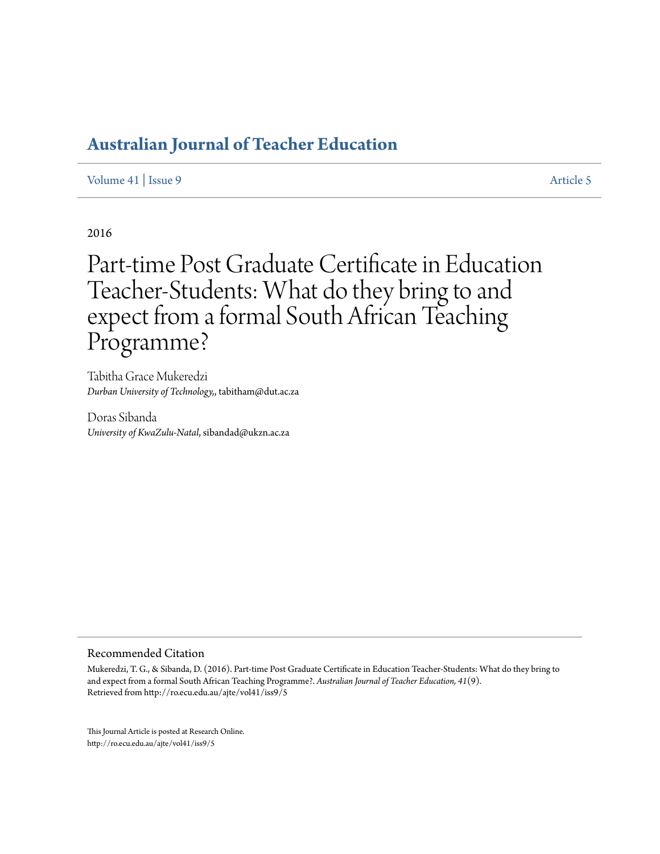[Volume 41](http://ro.ecu.edu.au/ajte/vol41) | [Issue 9](http://ro.ecu.edu.au/ajte/vol41/iss9) [Article 5](http://ro.ecu.edu.au/ajte/vol41/iss9/5)

2016

# Part-time Post Graduate Certificate in Education Teacher-Students: What do they bring to and expect from a formal South African Teaching Programme?

Tabitha Grace Mukeredzi *Durban University of Technology,*, tabitham@dut.ac.za

Doras Sibanda *University of KwaZulu-Natal*, sibandad@ukzn.ac.za

#### Recommended Citation

Mukeredzi, T. G., & Sibanda, D. (2016). Part-time Post Graduate Certificate in Education Teacher-Students: What do they bring to and expect from a formal South African Teaching Programme?. *Australian Journal of Teacher Education, 41*(9). Retrieved from http://ro.ecu.edu.au/ajte/vol41/iss9/5

This Journal Article is posted at Research Online. http://ro.ecu.edu.au/ajte/vol41/iss9/5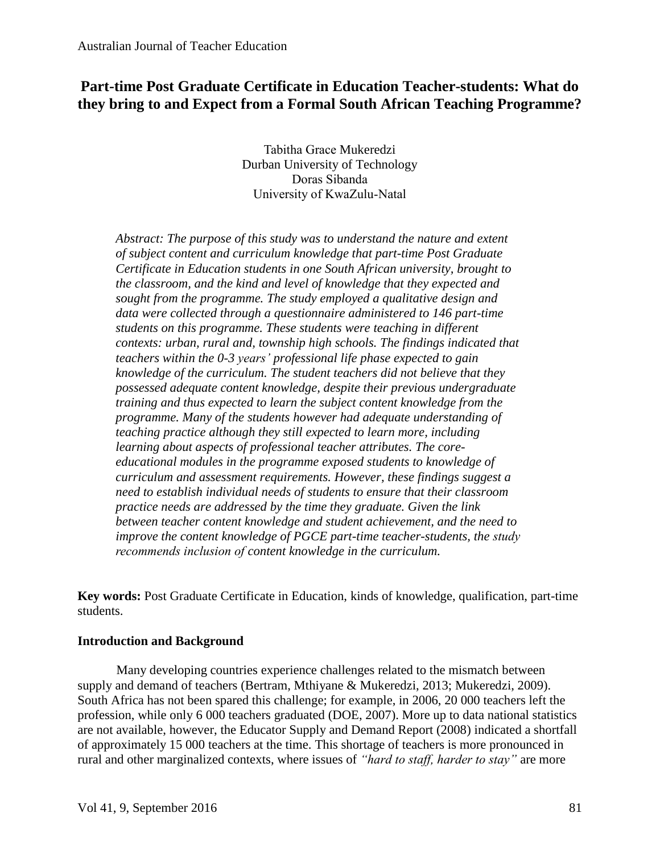# **Part-time Post Graduate Certificate in Education Teacher-students: What do they bring to and Expect from a Formal South African Teaching Programme?**

Tabitha Grace Mukeredzi Durban University of Technology Doras Sibanda University of KwaZulu-Natal

*Abstract: The purpose of this study was to understand the nature and extent of subject content and curriculum knowledge that part-time Post Graduate Certificate in Education students in one South African university, brought to the classroom, and the kind and level of knowledge that they expected and sought from the programme. The study employed a qualitative design and data were collected through a questionnaire administered to 146 part-time students on this programme. These students were teaching in different contexts: urban, rural and, township high schools. The findings indicated that teachers within the 0-3 years' professional life phase expected to gain knowledge of the curriculum. The student teachers did not believe that they possessed adequate content knowledge, despite their previous undergraduate training and thus expected to learn the subject content knowledge from the programme. Many of the students however had adequate understanding of teaching practice although they still expected to learn more, including learning about aspects of professional teacher attributes. The coreeducational modules in the programme exposed students to knowledge of curriculum and assessment requirements. However, these findings suggest a need to establish individual needs of students to ensure that their classroom practice needs are addressed by the time they graduate. Given the link between teacher content knowledge and student achievement, and the need to improve the content knowledge of PGCE part-time teacher-students, the study recommends inclusion of content knowledge in the curriculum.* 

**Key words:** Post Graduate Certificate in Education, kinds of knowledge, qualification, part-time students.

## **Introduction and Background**

Many developing countries experience challenges related to the mismatch between supply and demand of teachers (Bertram, Mthiyane & Mukeredzi, 2013; Mukeredzi, 2009). South Africa has not been spared this challenge; for example, in 2006, 20 000 teachers left the profession, while only 6 000 teachers graduated (DOE, 2007). More up to data national statistics are not available, however, the Educator Supply and Demand Report (2008) indicated a shortfall of approximately 15 000 teachers at the time. This shortage of teachers is more pronounced in rural and other marginalized contexts, where issues of *"hard to staff, harder to stay"* are more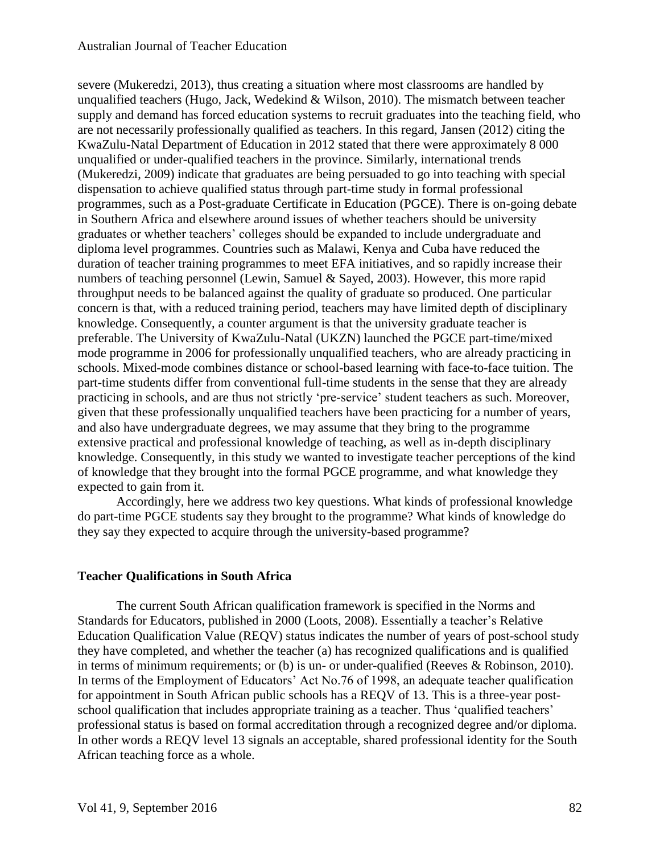severe (Mukeredzi, 2013), thus creating a situation where most classrooms are handled by unqualified teachers (Hugo, Jack, Wedekind & Wilson, 2010). The mismatch between teacher supply and demand has forced education systems to recruit graduates into the teaching field, who are not necessarily professionally qualified as teachers. In this regard, Jansen (2012) citing the KwaZulu-Natal Department of Education in 2012 stated that there were approximately 8 000 unqualified or under-qualified teachers in the province. Similarly, international trends (Mukeredzi, 2009) indicate that graduates are being persuaded to go into teaching with special dispensation to achieve qualified status through part-time study in formal professional programmes, such as a Post-graduate Certificate in Education (PGCE). There is on-going debate in Southern Africa and elsewhere around issues of whether teachers should be university graduates or whether teachers' colleges should be expanded to include undergraduate and diploma level programmes. Countries such as Malawi, Kenya and Cuba have reduced the duration of teacher training programmes to meet EFA initiatives, and so rapidly increase their numbers of teaching personnel (Lewin, Samuel & Sayed, 2003). However, this more rapid throughput needs to be balanced against the quality of graduate so produced. One particular concern is that, with a reduced training period, teachers may have limited depth of disciplinary knowledge. Consequently, a counter argument is that the university graduate teacher is preferable. The University of KwaZulu-Natal (UKZN) launched the PGCE part-time/mixed mode programme in 2006 for professionally unqualified teachers, who are already practicing in schools. Mixed-mode combines distance or school-based learning with face-to-face tuition. The part-time students differ from conventional full-time students in the sense that they are already practicing in schools, and are thus not strictly 'pre-service' student teachers as such. Moreover, given that these professionally unqualified teachers have been practicing for a number of years, and also have undergraduate degrees, we may assume that they bring to the programme extensive practical and professional knowledge of teaching, as well as in-depth disciplinary knowledge. Consequently, in this study we wanted to investigate teacher perceptions of the kind of knowledge that they brought into the formal PGCE programme, and what knowledge they expected to gain from it.

Accordingly, here we address two key questions. What kinds of professional knowledge do part-time PGCE students say they brought to the programme? What kinds of knowledge do they say they expected to acquire through the university-based programme?

# **Teacher Qualifications in South Africa**

The current South African qualification framework is specified in the Norms and Standards for Educators, published in 2000 (Loots, 2008). Essentially a teacher's Relative Education Qualification Value (REQV) status indicates the number of years of post-school study they have completed, and whether the teacher (a) has recognized qualifications and is qualified in terms of minimum requirements; or (b) is un- or under-qualified (Reeves & Robinson, 2010). In terms of the Employment of Educators' Act No.76 of 1998, an adequate teacher qualification for appointment in South African public schools has a REQV of 13. This is a three-year postschool qualification that includes appropriate training as a teacher. Thus 'qualified teachers' professional status is based on formal accreditation through a recognized degree and/or diploma. In other words a REQV level 13 signals an acceptable, shared professional identity for the South African teaching force as a whole.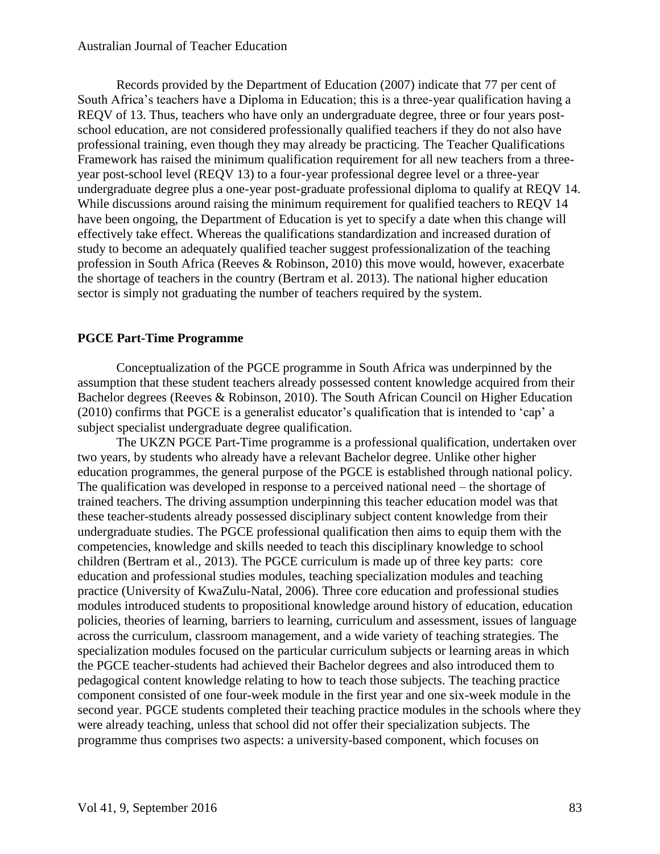Records provided by the Department of Education (2007) indicate that 77 per cent of South Africa's teachers have a Diploma in Education; this is a three-year qualification having a REQV of 13. Thus, teachers who have only an undergraduate degree, three or four years postschool education, are not considered professionally qualified teachers if they do not also have professional training, even though they may already be practicing. The Teacher Qualifications Framework has raised the minimum qualification requirement for all new teachers from a threeyear post-school level (REQV 13) to a four-year professional degree level or a three-year undergraduate degree plus a one-year post-graduate professional diploma to qualify at REQV 14. While discussions around raising the minimum requirement for qualified teachers to REQV 14 have been ongoing, the Department of Education is yet to specify a date when this change will effectively take effect. Whereas the qualifications standardization and increased duration of study to become an adequately qualified teacher suggest professionalization of the teaching profession in South Africa (Reeves & Robinson, 2010) this move would, however, exacerbate the shortage of teachers in the country (Bertram et al. 2013). The national higher education sector is simply not graduating the number of teachers required by the system.

# **PGCE Part-Time Programme**

Conceptualization of the PGCE programme in South Africa was underpinned by the assumption that these student teachers already possessed content knowledge acquired from their Bachelor degrees (Reeves & Robinson, 2010). The South African Council on Higher Education (2010) confirms that PGCE is a generalist educator's qualification that is intended to 'cap' a subject specialist undergraduate degree qualification.

The UKZN PGCE Part-Time programme is a professional qualification, undertaken over two years, by students who already have a relevant Bachelor degree. Unlike other higher education programmes, the general purpose of the PGCE is established through national policy. The qualification was developed in response to a perceived national need – the shortage of trained teachers. The driving assumption underpinning this teacher education model was that these teacher-students already possessed disciplinary subject content knowledge from their undergraduate studies. The PGCE professional qualification then aims to equip them with the competencies, knowledge and skills needed to teach this disciplinary knowledge to school children (Bertram et al., 2013). The PGCE curriculum is made up of three key parts: core education and professional studies modules, teaching specialization modules and teaching practice (University of KwaZulu-Natal, 2006). Three core education and professional studies modules introduced students to propositional knowledge around history of education, education policies, theories of learning, barriers to learning, curriculum and assessment, issues of language across the curriculum, classroom management, and a wide variety of teaching strategies. The specialization modules focused on the particular curriculum subjects or learning areas in which the PGCE teacher-students had achieved their Bachelor degrees and also introduced them to pedagogical content knowledge relating to how to teach those subjects. The teaching practice component consisted of one four-week module in the first year and one six-week module in the second year. PGCE students completed their teaching practice modules in the schools where they were already teaching, unless that school did not offer their specialization subjects. The programme thus comprises two aspects: a university-based component, which focuses on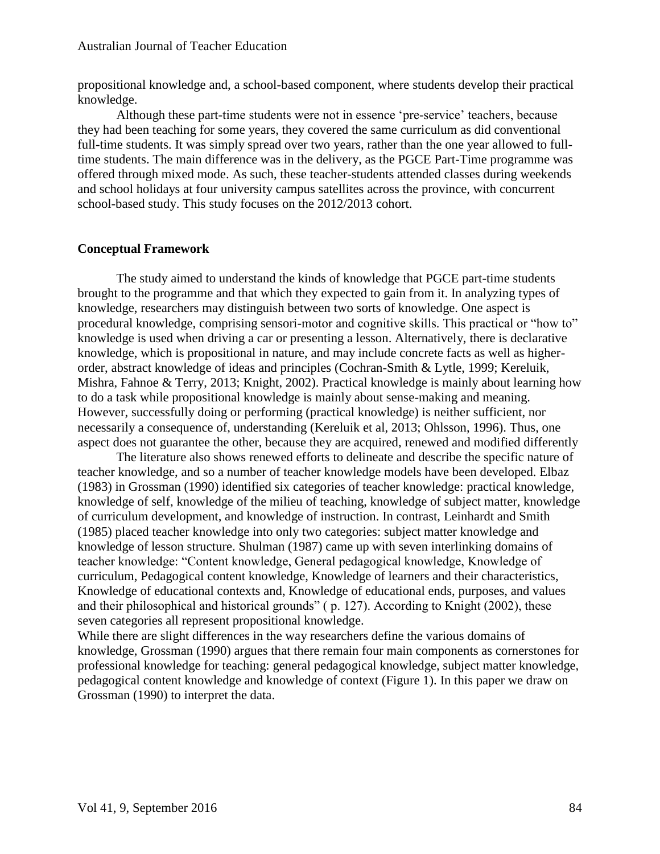propositional knowledge and, a school-based component, where students develop their practical knowledge.

Although these part-time students were not in essence 'pre-service' teachers, because they had been teaching for some years, they covered the same curriculum as did conventional full-time students. It was simply spread over two years, rather than the one year allowed to fulltime students. The main difference was in the delivery, as the PGCE Part-Time programme was offered through mixed mode. As such, these teacher-students attended classes during weekends and school holidays at four university campus satellites across the province, with concurrent school-based study. This study focuses on the 2012/2013 cohort.

## **Conceptual Framework**

The study aimed to understand the kinds of knowledge that PGCE part-time students brought to the programme and that which they expected to gain from it. In analyzing types of knowledge, researchers may distinguish between two sorts of knowledge. One aspect is procedural knowledge, comprising sensori-motor and cognitive skills. This practical or "how to" knowledge is used when driving a car or presenting a lesson. Alternatively, there is declarative knowledge, which is propositional in nature, and may include concrete facts as well as higherorder, abstract knowledge of ideas and principles (Cochran-Smith & Lytle, 1999; Kereluik, Mishra, Fahnoe & Terry, 2013; Knight, 2002). Practical knowledge is mainly about learning how to do a task while propositional knowledge is mainly about sense-making and meaning. However, successfully doing or performing (practical knowledge) is neither sufficient, nor necessarily a consequence of, understanding (Kereluik et al, 2013; Ohlsson, 1996). Thus, one aspect does not guarantee the other, because they are acquired, renewed and modified differently

The literature also shows renewed efforts to delineate and describe the specific nature of teacher knowledge, and so a number of teacher knowledge models have been developed. Elbaz (1983) in Grossman (1990) identified six categories of teacher knowledge: practical knowledge, knowledge of self, knowledge of the milieu of teaching, knowledge of subject matter, knowledge of curriculum development, and knowledge of instruction. In contrast, Leinhardt and Smith (1985) placed teacher knowledge into only two categories: subject matter knowledge and knowledge of lesson structure. Shulman (1987) came up with seven interlinking domains of teacher knowledge: "Content knowledge, General pedagogical knowledge, Knowledge of curriculum, Pedagogical content knowledge, Knowledge of learners and their characteristics, Knowledge of educational contexts and, Knowledge of educational ends, purposes, and values and their philosophical and historical grounds" ( p. 127). According to Knight (2002), these seven categories all represent propositional knowledge.

While there are slight differences in the way researchers define the various domains of knowledge, Grossman (1990) argues that there remain four main components as cornerstones for professional knowledge for teaching: general pedagogical knowledge, subject matter knowledge, pedagogical content knowledge and knowledge of context (Figure 1). In this paper we draw on Grossman (1990) to interpret the data.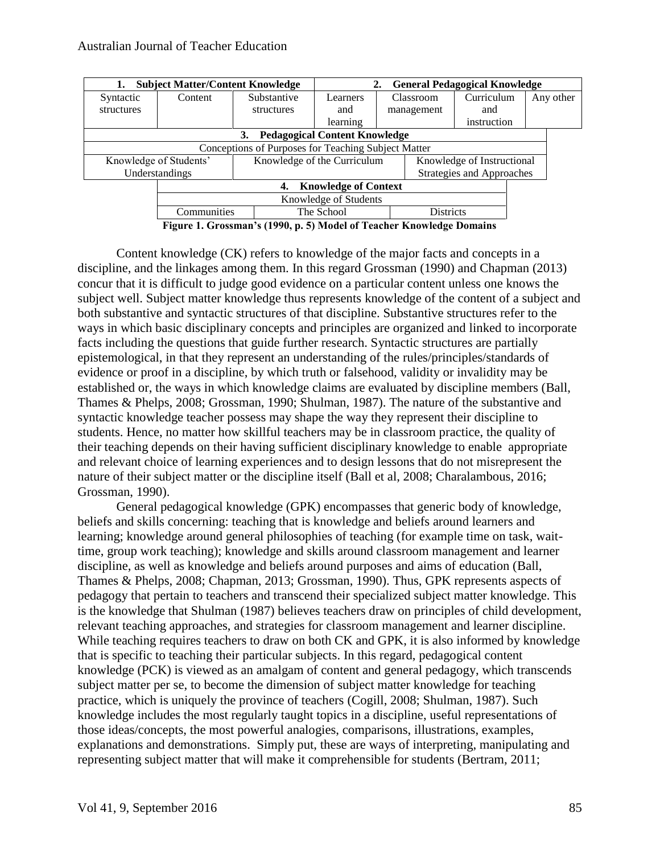| <b>Subject Matter/Content Knowledge</b> |                                                     | <b>General Pedagogical Knowledge</b>                      |            |                           |                  |             |  |           |
|-----------------------------------------|-----------------------------------------------------|-----------------------------------------------------------|------------|---------------------------|------------------|-------------|--|-----------|
| Syntactic                               | Content                                             | Substantive                                               | Learners   | Classroom                 |                  | Curriculum  |  | Any other |
| structures                              |                                                     | structures                                                | and        | management                |                  | and         |  |           |
|                                         |                                                     |                                                           | learning   |                           |                  | instruction |  |           |
|                                         | <b>Pedagogical Content Knowledge</b><br>3.          |                                                           |            |                           |                  |             |  |           |
|                                         | Conceptions of Purposes for Teaching Subject Matter |                                                           |            |                           |                  |             |  |           |
| Knowledge of Students'                  |                                                     | Knowledge of the Curriculum<br>Knowledge of Instructional |            |                           |                  |             |  |           |
| Understandings                          |                                                     |                                                           |            | Strategies and Approaches |                  |             |  |           |
| <b>Knowledge of Context</b><br>4.       |                                                     |                                                           |            |                           |                  |             |  |           |
| Knowledge of Students                   |                                                     |                                                           |            |                           |                  |             |  |           |
| Communities                             |                                                     |                                                           | The School |                           | <b>Districts</b> |             |  |           |

**Figure 1. Grossman's (1990, p. 5) Model of Teacher Knowledge Domains**

Content knowledge (CK) refers to knowledge of the major facts and concepts in a discipline, and the linkages among them. In this regard Grossman (1990) and Chapman (2013) concur that it is difficult to judge good evidence on a particular content unless one knows the subject well. Subject matter knowledge thus represents knowledge of the content of a subject and both substantive and syntactic structures of that discipline. Substantive structures refer to the ways in which basic disciplinary concepts and principles are organized and linked to incorporate facts including the questions that guide further research. Syntactic structures are partially epistemological, in that they represent an understanding of the rules/principles/standards of evidence or proof in a discipline, by which truth or falsehood, validity or invalidity may be established or, the ways in which knowledge claims are evaluated by discipline members (Ball, Thames & Phelps, 2008; Grossman, 1990; Shulman, 1987). The nature of the substantive and syntactic knowledge teacher possess may shape the way they represent their discipline to students. Hence, no matter how skillful teachers may be in classroom practice, the quality of their teaching depends on their having sufficient disciplinary knowledge to enable appropriate and relevant choice of learning experiences and to design lessons that do not misrepresent the nature of their subject matter or the discipline itself (Ball et al, 2008; Charalambous, 2016; Grossman, 1990).

General pedagogical knowledge (GPK) encompasses that generic body of knowledge, beliefs and skills concerning: teaching that is knowledge and beliefs around learners and learning; knowledge around general philosophies of teaching (for example time on task, waittime, group work teaching); knowledge and skills around classroom management and learner discipline, as well as knowledge and beliefs around purposes and aims of education (Ball, Thames & Phelps, 2008; Chapman, 2013; Grossman, 1990). Thus, GPK represents aspects of pedagogy that pertain to teachers and transcend their specialized subject matter knowledge. This is the knowledge that Shulman (1987) believes teachers draw on principles of child development, relevant teaching approaches, and strategies for classroom management and learner discipline. While teaching requires teachers to draw on both CK and GPK, it is also informed by knowledge that is specific to teaching their particular subjects. In this regard, pedagogical content knowledge (PCK) is viewed as an amalgam of content and general pedagogy, which transcends subject matter per se, to become the dimension of subject matter knowledge for teaching practice, which is uniquely the province of teachers (Cogill, 2008; Shulman, 1987). Such knowledge includes the most regularly taught topics in a discipline, useful representations of those ideas/concepts, the most powerful analogies, comparisons, illustrations, examples, explanations and demonstrations. Simply put, these are ways of interpreting, manipulating and representing subject matter that will make it comprehensible for students (Bertram, 2011;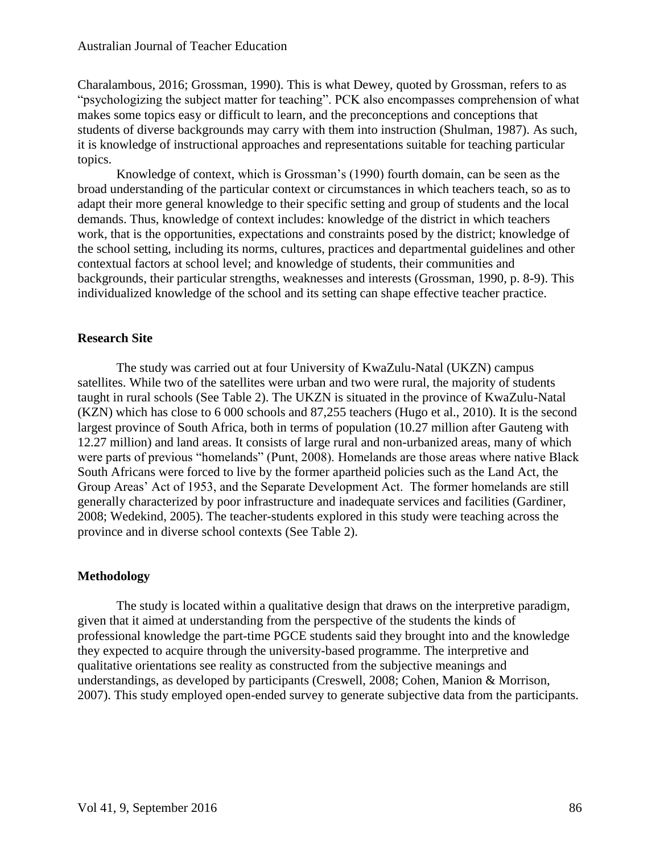Charalambous, 2016; Grossman, 1990). This is what Dewey, quoted by Grossman, refers to as "psychologizing the subject matter for teaching". PCK also encompasses comprehension of what makes some topics easy or difficult to learn, and the preconceptions and conceptions that students of diverse backgrounds may carry with them into instruction (Shulman, 1987). As such, it is knowledge of instructional approaches and representations suitable for teaching particular topics.

Knowledge of context, which is Grossman's (1990) fourth domain, can be seen as the broad understanding of the particular context or circumstances in which teachers teach, so as to adapt their more general knowledge to their specific setting and group of students and the local demands. Thus, knowledge of context includes: knowledge of the district in which teachers work, that is the opportunities, expectations and constraints posed by the district; knowledge of the school setting, including its norms, cultures, practices and departmental guidelines and other contextual factors at school level; and knowledge of students, their communities and backgrounds, their particular strengths, weaknesses and interests (Grossman, 1990, p. 8-9). This individualized knowledge of the school and its setting can shape effective teacher practice.

# **Research Site**

The study was carried out at four University of KwaZulu-Natal (UKZN) campus satellites. While two of the satellites were urban and two were rural, the majority of students taught in rural schools (See Table 2). The UKZN is situated in the province of KwaZulu-Natal (KZN) which has close to 6 000 schools and 87,255 teachers (Hugo et al., 2010). It is the second largest province of South Africa, both in terms of population (10.27 million after Gauteng with 12.27 million) and land areas. It consists of large rural and non-urbanized areas, many of which were parts of previous "homelands" (Punt, 2008). Homelands are those areas where native Black South Africans were forced to live by the former apartheid policies such as the Land Act, the Group Areas' Act of 1953, and the Separate Development Act. The former homelands are still generally characterized by poor infrastructure and inadequate services and facilities (Gardiner, 2008; Wedekind, 2005). The teacher-students explored in this study were teaching across the province and in diverse school contexts (See Table 2).

# **Methodology**

The study is located within a qualitative design that draws on the interpretive paradigm, given that it aimed at understanding from the perspective of the students the kinds of professional knowledge the part-time PGCE students said they brought into and the knowledge they expected to acquire through the university-based programme. The interpretive and qualitative orientations see reality as constructed from the subjective meanings and understandings, as developed by participants (Creswell, 2008; Cohen, Manion & Morrison, 2007). This study employed open-ended survey to generate subjective data from the participants.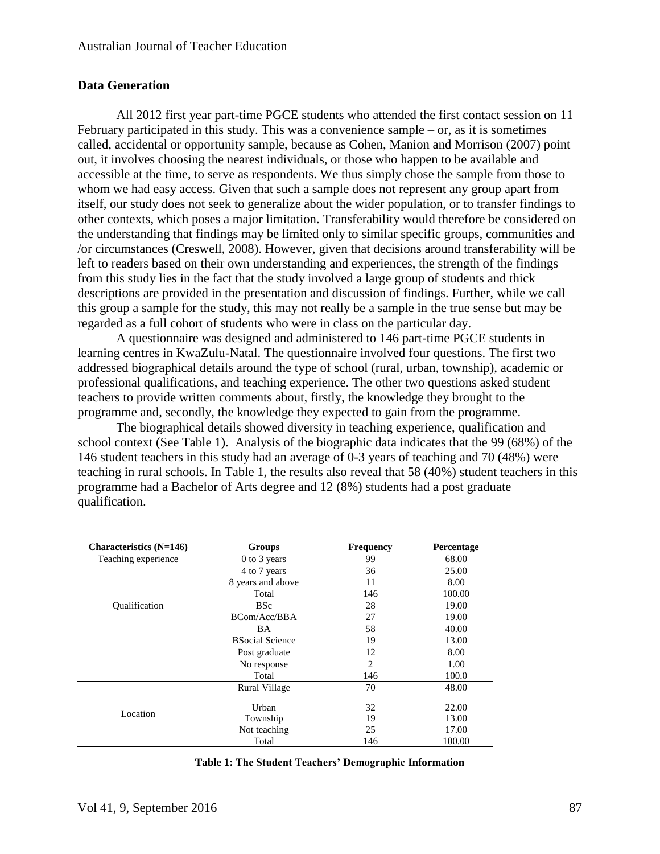# **Data Generation**

All 2012 first year part-time PGCE students who attended the first contact session on 11 February participated in this study. This was a convenience sample – or, as it is sometimes called, accidental or opportunity sample, because as Cohen, Manion and Morrison (2007) point out, it involves choosing the nearest individuals, or those who happen to be available and accessible at the time, to serve as respondents. We thus simply chose the sample from those to whom we had easy access. Given that such a sample does not represent any group apart from itself, our study does not seek to generalize about the wider population, or to transfer findings to other contexts, which poses a major limitation. Transferability would therefore be considered on the understanding that findings may be limited only to similar specific groups, communities and /or circumstances (Creswell, 2008). However, given that decisions around transferability will be left to readers based on their own understanding and experiences, the strength of the findings from this study lies in the fact that the study involved a large group of students and thick descriptions are provided in the presentation and discussion of findings. Further, while we call this group a sample for the study, this may not really be a sample in the true sense but may be regarded as a full cohort of students who were in class on the particular day.

A questionnaire was designed and administered to 146 part-time PGCE students in learning centres in KwaZulu-Natal. The questionnaire involved four questions. The first two addressed biographical details around the type of school (rural, urban, township), academic or professional qualifications, and teaching experience. The other two questions asked student teachers to provide written comments about, firstly, the knowledge they brought to the programme and, secondly, the knowledge they expected to gain from the programme.

The biographical details showed diversity in teaching experience, qualification and school context (See Table 1). Analysis of the biographic data indicates that the 99 (68%) of the 146 student teachers in this study had an average of 0-3 years of teaching and 70 (48%) were teaching in rural schools. In Table 1, the results also reveal that 58 (40%) student teachers in this programme had a Bachelor of Arts degree and 12 (8%) students had a post graduate qualification.

| <b>Characteristics</b> (N=146) | Groups                 | <b>Frequency</b> | <b>Percentage</b> |
|--------------------------------|------------------------|------------------|-------------------|
| Teaching experience            | 0 to 3 years           | 99               | 68.00             |
|                                | 4 to 7 years           | 36               | 25.00             |
|                                | 8 years and above      | 11               | 8.00              |
|                                | Total                  | 146              | 100.00            |
| Qualification                  | <b>BSc</b>             | 28               | 19.00             |
|                                | BCom/Acc/BBA           | 27               | 19.00             |
|                                | BA                     | 58               | 40.00             |
|                                | <b>BSocial Science</b> | 19               | 13.00             |
|                                | Post graduate          | 12               | 8.00              |
|                                | No response            | $\overline{c}$   | 1.00              |
|                                | Total                  | 146              | 100.0             |
|                                | <b>Rural Village</b>   | 70               | 48.00             |
|                                |                        |                  |                   |
| Location                       | Urban                  | 32               | 22.00             |
|                                | Township               | 19               | 13.00             |
|                                | Not teaching           | 25               | 17.00             |
|                                | Total                  | 146              | 100.00            |

**Table 1: The Student Teachers' Demographic Information**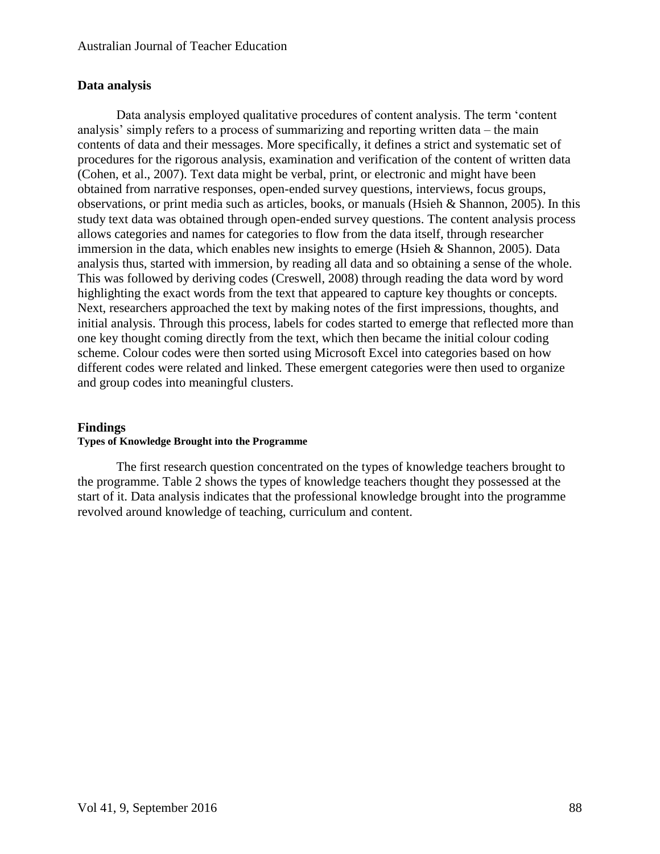# **Data analysis**

Data analysis employed qualitative procedures of content analysis. The term 'content analysis' simply refers to a process of summarizing and reporting written data – the main contents of data and their messages. More specifically, it defines a strict and systematic set of procedures for the rigorous analysis, examination and verification of the content of written data (Cohen, et al., 2007). Text data might be verbal, print, or electronic and might have been obtained from narrative responses, open-ended survey questions, interviews, focus groups, observations, or print media such as articles, books, or manuals (Hsieh & Shannon, 2005). In this study text data was obtained through open-ended survey questions. The content analysis process allows categories and names for categories to flow from the data itself, through researcher immersion in the data, which enables new insights to emerge (Hsieh & Shannon, 2005). Data analysis thus, started with immersion, by reading all data and so obtaining a sense of the whole. This was followed by deriving codes (Creswell, 2008) through reading the data word by word highlighting the exact words from the text that appeared to capture key thoughts or concepts. Next, researchers approached the text by making notes of the first impressions, thoughts, and initial analysis. Through this process, labels for codes started to emerge that reflected more than one key thought coming directly from the text, which then became the initial colour coding scheme. Colour codes were then sorted using Microsoft Excel into categories based on how different codes were related and linked. These emergent categories were then used to organize and group codes into meaningful clusters.

# **Findings Types of Knowledge Brought into the Programme**

The first research question concentrated on the types of knowledge teachers brought to the programme. Table 2 shows the types of knowledge teachers thought they possessed at the start of it. Data analysis indicates that the professional knowledge brought into the programme revolved around knowledge of teaching, curriculum and content.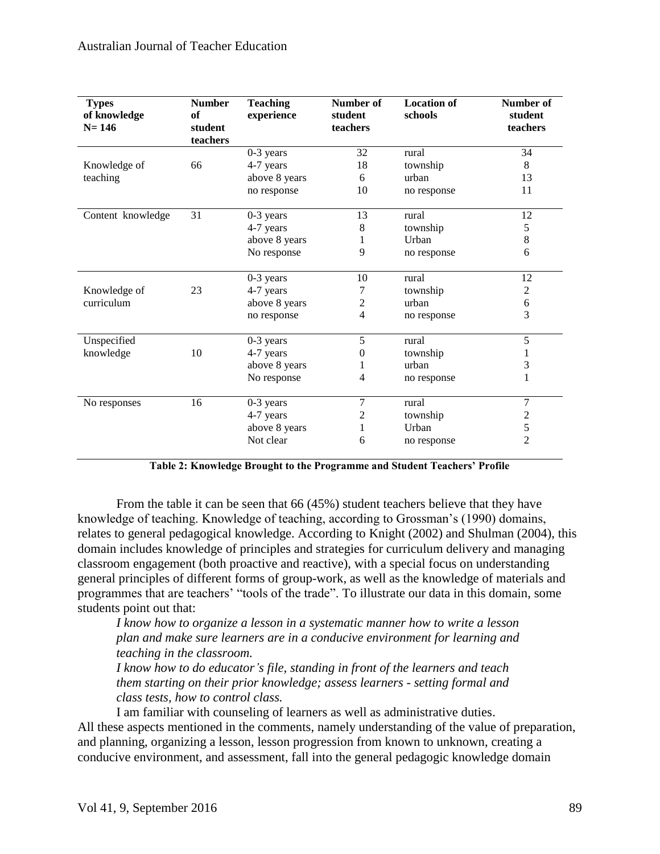| <b>Types</b><br>of knowledge<br>$N = 146$ | <b>Number</b><br>of<br>student<br>teachers | <b>Teaching</b><br>experience | Number of<br>student<br>teachers | <b>Location of</b><br>schools | Number of<br>student<br>teachers |  |
|-------------------------------------------|--------------------------------------------|-------------------------------|----------------------------------|-------------------------------|----------------------------------|--|
|                                           |                                            | $0-3$ years                   | 32                               | rural                         | 34                               |  |
| Knowledge of                              | 66                                         | 4-7 years                     | 18                               | township                      | 8                                |  |
| teaching                                  |                                            | above 8 years                 | 6                                | urban                         | 13                               |  |
|                                           |                                            | no response                   | 10                               | no response                   | 11                               |  |
| Content knowledge                         | 31                                         | $0-3$ years                   | 13                               | rural                         | 12                               |  |
|                                           |                                            | 4-7 years                     | 8                                | township                      | 5                                |  |
|                                           |                                            | above 8 years                 | 1                                | Urban                         | $\,8\,$                          |  |
|                                           |                                            | No response                   | 9                                | no response                   | 6                                |  |
|                                           |                                            | 0-3 years                     | 10                               | rural                         | 12                               |  |
| Knowledge of                              | 23                                         | 4-7 years                     | 7                                | township                      | $\mathbf{2}$                     |  |
| curriculum                                |                                            | above 8 years                 | $\overline{c}$                   | urban                         | $\boldsymbol{6}$                 |  |
|                                           |                                            | no response                   | $\overline{4}$                   | no response                   | $\overline{3}$                   |  |
| Unspecified                               |                                            | $0-3$ years                   | 5                                | rural                         | 5                                |  |
| knowledge                                 | 10                                         | 4-7 years                     | $\boldsymbol{0}$                 | township                      | 1                                |  |
|                                           |                                            | above 8 years                 | 1                                | urban                         | 3                                |  |
|                                           |                                            | No response                   | 4                                | no response                   | 1                                |  |
| No responses                              | 16                                         | $0-3$ years                   | 7                                | rural                         | 7                                |  |
|                                           |                                            | 4-7 years                     | 2                                | township                      | $\overline{\mathbf{c}}$          |  |
|                                           |                                            | above 8 years                 | 1                                | Urban                         | 5                                |  |
|                                           |                                            | Not clear                     | 6                                | no response                   | $\overline{2}$                   |  |

**Table 2: Knowledge Brought to the Programme and Student Teachers' Profile**

From the table it can be seen that 66 (45%) student teachers believe that they have knowledge of teaching. Knowledge of teaching, according to Grossman's (1990) domains, relates to general pedagogical knowledge. According to Knight (2002) and Shulman (2004), this domain includes knowledge of principles and strategies for curriculum delivery and managing classroom engagement (both proactive and reactive), with a special focus on understanding general principles of different forms of group-work, as well as the knowledge of materials and programmes that are teachers' "tools of the trade". To illustrate our data in this domain, some students point out that:

*I know how to organize a lesson in a systematic manner how to write a lesson plan and make sure learners are in a conducive environment for learning and teaching in the classroom.*

*I know how to do educator's file, standing in front of the learners and teach them starting on their prior knowledge; assess learners - setting formal and class tests, how to control class.*

I am familiar with counseling of learners as well as administrative duties. All these aspects mentioned in the comments, namely understanding of the value of preparation, and planning, organizing a lesson, lesson progression from known to unknown, creating a conducive environment, and assessment, fall into the general pedagogic knowledge domain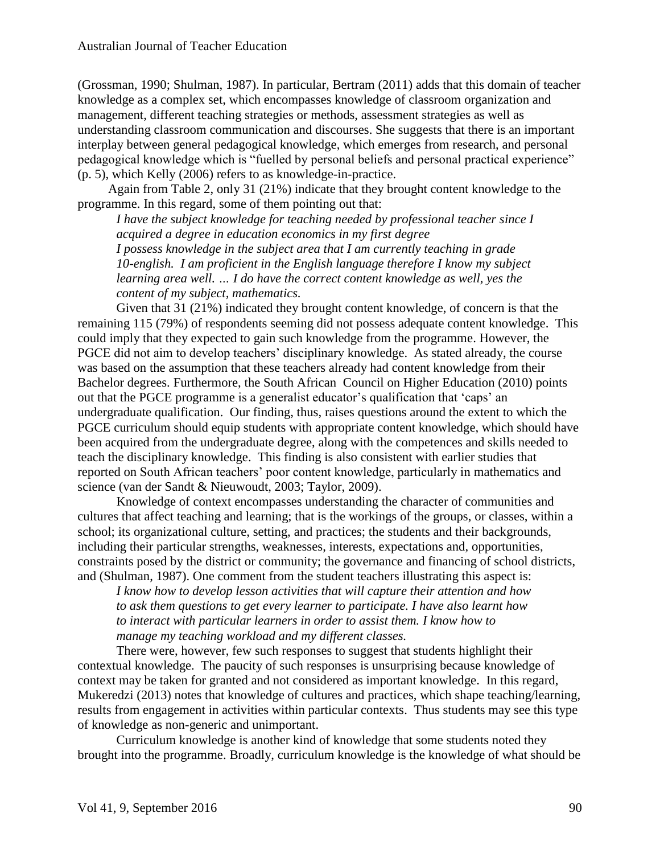(Grossman, 1990; Shulman, 1987). In particular, Bertram (2011) adds that this domain of teacher knowledge as a complex set, which encompasses knowledge of classroom organization and management, different teaching strategies or methods, assessment strategies as well as understanding classroom communication and discourses. She suggests that there is an important interplay between general pedagogical knowledge, which emerges from research, and personal pedagogical knowledge which is "fuelled by personal beliefs and personal practical experience" (p. 5), which Kelly (2006) refers to as knowledge-in-practice.

Again from Table 2, only 31 (21%) indicate that they brought content knowledge to the programme. In this regard, some of them pointing out that:

*I have the subject knowledge for teaching needed by professional teacher since I acquired a degree in education economics in my first degree*

*I possess knowledge in the subject area that I am currently teaching in grade 10-english. I am proficient in the English language therefore I know my subject learning area well. ... I do have the correct content knowledge as well, yes the content of my subject, mathematics.*

Given that 31 (21%) indicated they brought content knowledge, of concern is that the remaining 115 (79%) of respondents seeming did not possess adequate content knowledge. This could imply that they expected to gain such knowledge from the programme. However, the PGCE did not aim to develop teachers' disciplinary knowledge. As stated already, the course was based on the assumption that these teachers already had content knowledge from their Bachelor degrees. Furthermore, the South African Council on Higher Education (2010) points out that the PGCE programme is a generalist educator's qualification that 'caps' an undergraduate qualification. Our finding, thus, raises questions around the extent to which the PGCE curriculum should equip students with appropriate content knowledge, which should have been acquired from the undergraduate degree, along with the competences and skills needed to teach the disciplinary knowledge. This finding is also consistent with earlier studies that reported on South African teachers' poor content knowledge, particularly in mathematics and science (van der Sandt & Nieuwoudt, 2003; Taylor, 2009).

Knowledge of context encompasses understanding the character of communities and cultures that affect teaching and learning; that is the workings of the groups, or classes, within a school; its organizational culture, setting, and practices; the students and their backgrounds, including their particular strengths, weaknesses, interests, expectations and, opportunities, constraints posed by the district or community; the governance and financing of school districts, and (Shulman, 1987). One comment from the student teachers illustrating this aspect is:

*I know how to develop lesson activities that will capture their attention and how to ask them questions to get every learner to participate. I have also learnt how to interact with particular learners in order to assist them. I know how to manage my teaching workload and my different classes.*

There were, however, few such responses to suggest that students highlight their contextual knowledge. The paucity of such responses is unsurprising because knowledge of context may be taken for granted and not considered as important knowledge. In this regard, Mukeredzi (2013) notes that knowledge of cultures and practices, which shape teaching/learning, results from engagement in activities within particular contexts. Thus students may see this type of knowledge as non-generic and unimportant.

Curriculum knowledge is another kind of knowledge that some students noted they brought into the programme. Broadly, curriculum knowledge is the knowledge of what should be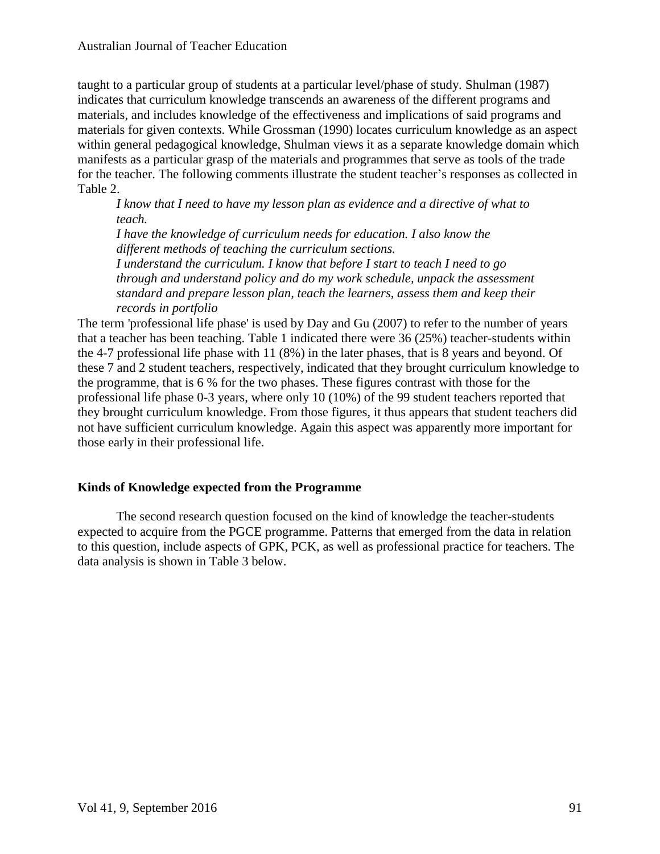taught to a particular group of students at a particular level/phase of study. Shulman (1987) indicates that curriculum knowledge transcends an awareness of the different programs and materials, and includes knowledge of the effectiveness and implications of said programs and materials for given contexts. While Grossman (1990) locates curriculum knowledge as an aspect within general pedagogical knowledge, Shulman views it as a separate knowledge domain which manifests as a particular grasp of the materials and programmes that serve as tools of the trade for the teacher. The following comments illustrate the student teacher's responses as collected in Table 2.

*I know that I need to have my lesson plan as evidence and a directive of what to teach. I have the knowledge of curriculum needs for education. I also know the different methods of teaching the curriculum sections. I understand the curriculum. I know that before I start to teach I need to go through and understand policy and do my work schedule, unpack the assessment standard and prepare lesson plan, teach the learners, assess them and keep their records in portfolio*

The term 'professional life phase' is used by Day and Gu (2007) to refer to the number of years that a teacher has been teaching. Table 1 indicated there were 36 (25%) teacher-students within the 4-7 professional life phase with 11 (8%) in the later phases, that is 8 years and beyond. Of these 7 and 2 student teachers, respectively, indicated that they brought curriculum knowledge to the programme, that is 6 % for the two phases. These figures contrast with those for the professional life phase 0-3 years, where only 10 (10%) of the 99 student teachers reported that they brought curriculum knowledge. From those figures, it thus appears that student teachers did not have sufficient curriculum knowledge. Again this aspect was apparently more important for those early in their professional life.

## **Kinds of Knowledge expected from the Programme**

The second research question focused on the kind of knowledge the teacher-students expected to acquire from the PGCE programme. Patterns that emerged from the data in relation to this question, include aspects of GPK, PCK, as well as professional practice for teachers. The data analysis is shown in Table 3 below.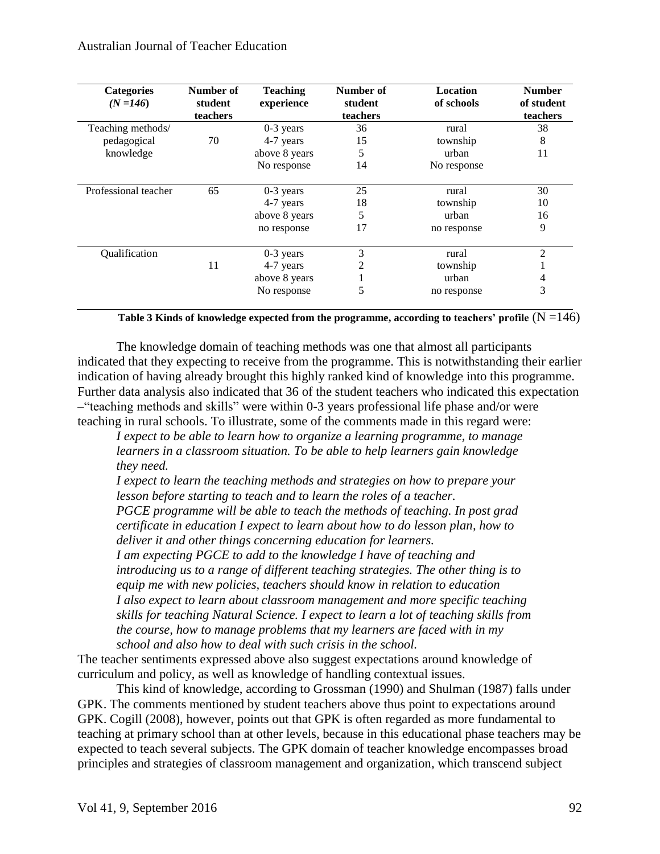| <b>Categories</b><br>$(N = 146)$ | Number of<br>student<br>teachers | <b>Teaching</b><br>experience | Number of<br>student<br>teachers | <b>Location</b><br>of schools | <b>Number</b><br>of student<br>teachers |
|----------------------------------|----------------------------------|-------------------------------|----------------------------------|-------------------------------|-----------------------------------------|
| Teaching methods/                |                                  | $0-3$ years                   | 36                               | rural                         | 38                                      |
| pedagogical                      | 70                               | 4-7 years                     | 15                               | township                      | 8                                       |
| knowledge                        |                                  | above 8 years                 | 5                                | urban                         | 11                                      |
|                                  |                                  | No response                   | 14                               | No response                   |                                         |
| Professional teacher             | 65                               | $0-3$ years                   | 25                               | rural                         | 30                                      |
|                                  |                                  | 4-7 years                     | 18                               | township                      | 10                                      |
|                                  |                                  | above 8 years                 | 5                                | urban                         | 16                                      |
|                                  |                                  | no response                   | 17                               | no response                   | 9                                       |
| Qualification                    |                                  | $0-3$ years                   | 3                                | rural                         | $\overline{c}$                          |
|                                  | 11                               | 4-7 years                     |                                  | township                      |                                         |
|                                  |                                  | above 8 years                 |                                  | urban                         | 4                                       |
|                                  |                                  | No response                   | 5                                | no response                   | 3                                       |

**Table 3 Kinds of knowledge expected from the programme, according to teachers' profile**  $(N = 146)$ 

The knowledge domain of teaching methods was one that almost all participants indicated that they expecting to receive from the programme. This is notwithstanding their earlier indication of having already brought this highly ranked kind of knowledge into this programme. Further data analysis also indicated that 36 of the student teachers who indicated this expectation –"teaching methods and skills" were within 0-3 years professional life phase and/or were teaching in rural schools. To illustrate, some of the comments made in this regard were:

*I expect to be able to learn how to organize a learning programme, to manage learners in a classroom situation. To be able to help learners gain knowledge they need.*

*I expect to learn the teaching methods and strategies on how to prepare your lesson before starting to teach and to learn the roles of a teacher. PGCE programme will be able to teach the methods of teaching. In post grad certificate in education I expect to learn about how to do lesson plan, how to deliver it and other things concerning education for learners.*

*I am expecting PGCE to add to the knowledge I have of teaching and introducing us to a range of different teaching strategies. The other thing is to equip me with new policies, teachers should know in relation to education I also expect to learn about classroom management and more specific teaching skills for teaching Natural Science. I expect to learn a lot of teaching skills from the course, how to manage problems that my learners are faced with in my school and also how to deal with such crisis in the school.*

The teacher sentiments expressed above also suggest expectations around knowledge of curriculum and policy, as well as knowledge of handling contextual issues.

This kind of knowledge, according to Grossman (1990) and Shulman (1987) falls under GPK. The comments mentioned by student teachers above thus point to expectations around GPK. Cogill (2008), however, points out that GPK is often regarded as more fundamental to teaching at primary school than at other levels, because in this educational phase teachers may be expected to teach several subjects. The GPK domain of teacher knowledge encompasses broad principles and strategies of classroom management and organization, which transcend subject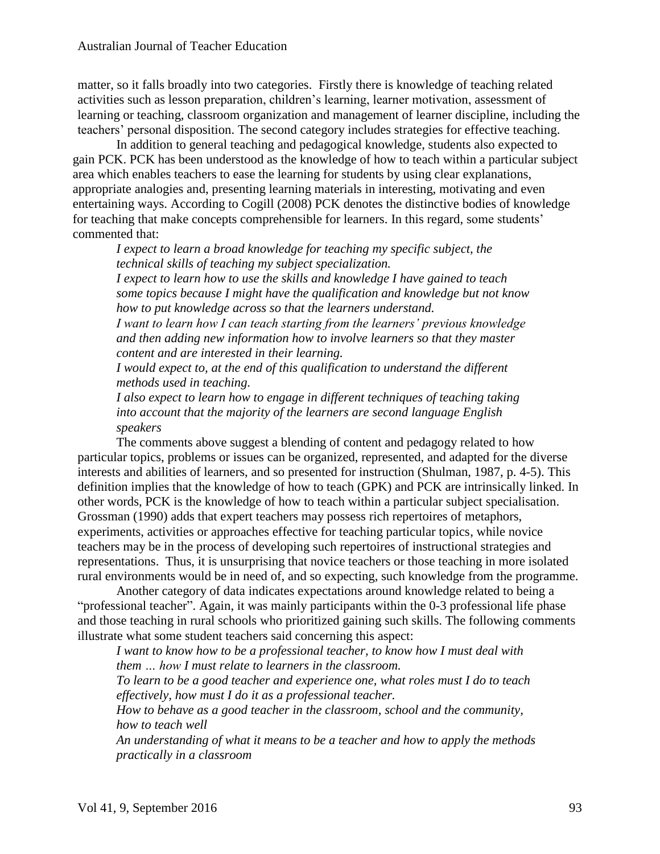matter, so it falls broadly into two categories. Firstly there is knowledge of teaching related activities such as lesson preparation, children's learning, learner motivation, assessment of learning or teaching, classroom organization and management of learner discipline, including the teachers' personal disposition. The second category includes strategies for effective teaching.

In addition to general teaching and pedagogical knowledge, students also expected to gain PCK. PCK has been understood as the knowledge of how to teach within a particular subject area which enables teachers to ease the learning for students by using clear explanations, appropriate analogies and, presenting learning materials in interesting, motivating and even entertaining ways. According to Cogill (2008) PCK denotes the distinctive bodies of knowledge for teaching that make concepts comprehensible for learners. In this regard, some students' commented that:

*I expect to learn a broad knowledge for teaching my specific subject, the technical skills of teaching my subject specialization.*

*I expect to learn how to use the skills and knowledge I have gained to teach some topics because I might have the qualification and knowledge but not know how to put knowledge across so that the learners understand.*

*I want to learn how I can teach starting from the learners' previous knowledge and then adding new information how to involve learners so that they master content and are interested in their learning.*

*I* would expect to, at the end of this qualification to understand the different *methods used in teaching.* 

*I also expect to learn how to engage in different techniques of teaching taking into account that the majority of the learners are second language English speakers*

The comments above suggest a blending of content and pedagogy related to how particular topics, problems or issues can be organized, represented, and adapted for the diverse interests and abilities of learners, and so presented for instruction (Shulman, 1987, p. 4-5). This definition implies that the knowledge of how to teach (GPK) and PCK are intrinsically linked. In other words, PCK is the knowledge of how to teach within a particular subject specialisation. Grossman (1990) adds that expert teachers may possess rich repertoires of metaphors, experiments, activities or approaches effective for teaching particular topics, while novice teachers may be in the process of developing such repertoires of instructional strategies and representations. Thus, it is unsurprising that novice teachers or those teaching in more isolated rural environments would be in need of, and so expecting, such knowledge from the programme.

Another category of data indicates expectations around knowledge related to being a "professional teacher". Again, it was mainly participants within the 0-3 professional life phase and those teaching in rural schools who prioritized gaining such skills. The following comments illustrate what some student teachers said concerning this aspect:

*I want to know how to be a professional teacher, to know how I must deal with them … how I must relate to learners in the classroom.*

*To learn to be a good teacher and experience one, what roles must I do to teach effectively, how must I do it as a professional teacher.*

*How to behave as a good teacher in the classroom, school and the community, how to teach well*

*An understanding of what it means to be a teacher and how to apply the methods practically in a classroom*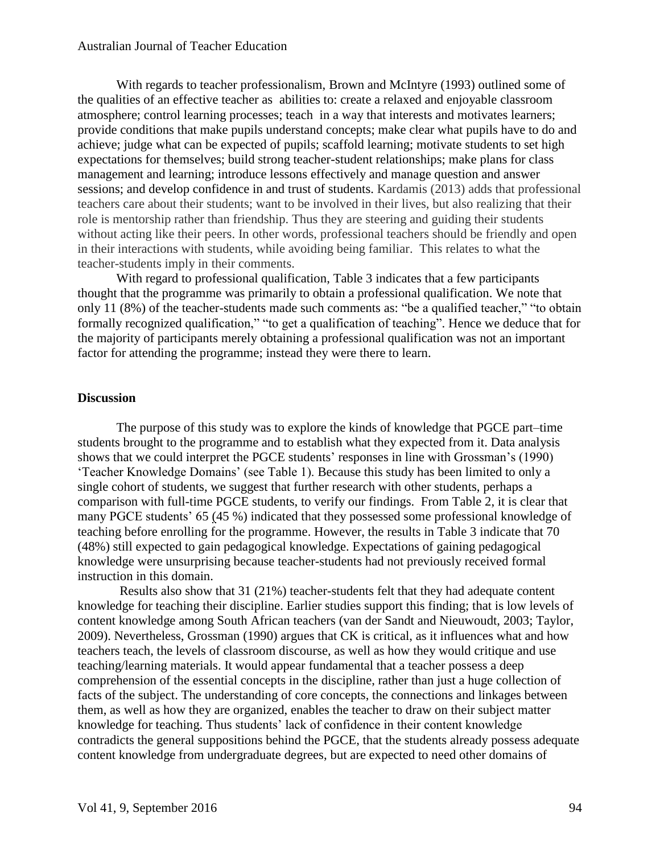With regards to teacher professionalism, Brown and McIntyre (1993) outlined some of the qualities of an effective teacher as abilities to: create a relaxed and enjoyable classroom atmosphere; control learning processes; teach in a way that interests and motivates learners; provide conditions that make pupils understand concepts; make clear what pupils have to do and achieve; judge what can be expected of pupils; scaffold learning; motivate students to set high expectations for themselves; build strong teacher-student relationships; make plans for class management and learning; introduce lessons effectively and manage question and answer sessions; and develop confidence in and trust of students. Kardamis (2013) adds that professional teachers care about their students; want to be involved in their lives, but also realizing that their role is mentorship rather than friendship. Thus they are steering and guiding their students without acting like their peers. In other words, professional teachers should be friendly and open in their interactions with students, while avoiding being familiar. This relates to what the teacher-students imply in their comments.

With regard to professional qualification, Table 3 indicates that a few participants thought that the programme was primarily to obtain a professional qualification. We note that only 11 (8%) of the teacher-students made such comments as: "be a qualified teacher," "to obtain formally recognized qualification," "to get a qualification of teaching". Hence we deduce that for the majority of participants merely obtaining a professional qualification was not an important factor for attending the programme; instead they were there to learn.

#### **Discussion**

The purpose of this study was to explore the kinds of knowledge that PGCE part–time students brought to the programme and to establish what they expected from it. Data analysis shows that we could interpret the PGCE students' responses in line with Grossman's (1990) 'Teacher Knowledge Domains' (see Table 1). Because this study has been limited to only a single cohort of students, we suggest that further research with other students, perhaps a comparison with full-time PGCE students, to verify our findings. From Table 2, it is clear that many PGCE students' 65 (45 %) indicated that they possessed some professional knowledge of teaching before enrolling for the programme. However, the results in Table 3 indicate that 70 (48%) still expected to gain pedagogical knowledge. Expectations of gaining pedagogical knowledge were unsurprising because teacher-students had not previously received formal instruction in this domain.

Results also show that 31 (21%) teacher-students felt that they had adequate content knowledge for teaching their discipline. Earlier studies support this finding; that is low levels of content knowledge among South African teachers (van der Sandt and Nieuwoudt, 2003; Taylor, 2009). Nevertheless, Grossman (1990) argues that CK is critical, as it influences what and how teachers teach, the levels of classroom discourse, as well as how they would critique and use teaching/learning materials. It would appear fundamental that a teacher possess a deep comprehension of the essential concepts in the discipline, rather than just a huge collection of facts of the subject. The understanding of core concepts, the connections and linkages between them, as well as how they are organized, enables the teacher to draw on their subject matter knowledge for teaching. Thus students' lack of confidence in their content knowledge contradicts the general suppositions behind the PGCE, that the students already possess adequate content knowledge from undergraduate degrees, but are expected to need other domains of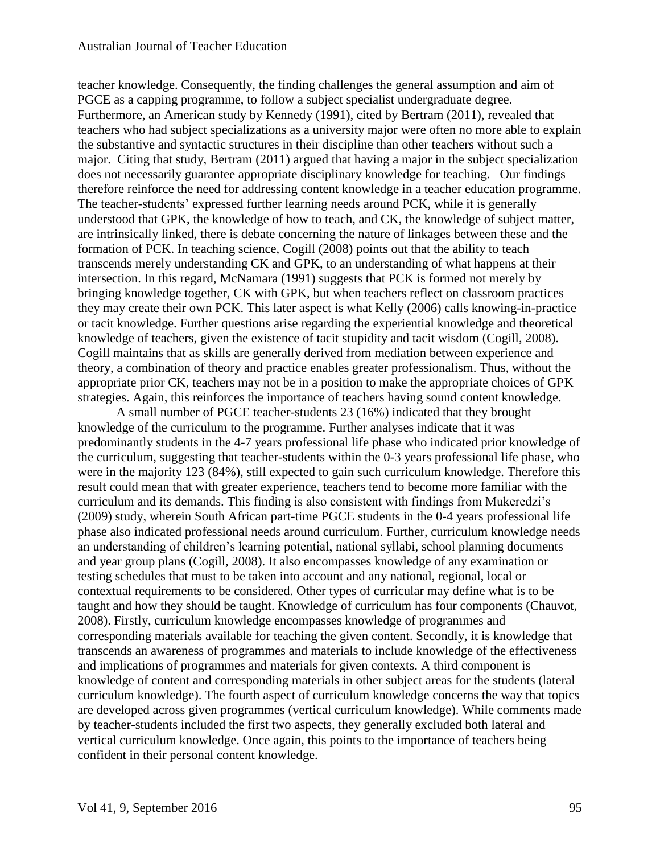teacher knowledge. Consequently, the finding challenges the general assumption and aim of PGCE as a capping programme, to follow a subject specialist undergraduate degree. Furthermore, an American study by Kennedy (1991), cited by Bertram (2011), revealed that teachers who had subject specializations as a university major were often no more able to explain the substantive and syntactic structures in their discipline than other teachers without such a major. Citing that study, Bertram (2011) argued that having a major in the subject specialization does not necessarily guarantee appropriate disciplinary knowledge for teaching. Our findings therefore reinforce the need for addressing content knowledge in a teacher education programme. The teacher-students' expressed further learning needs around PCK, while it is generally understood that GPK, the knowledge of how to teach, and CK, the knowledge of subject matter, are intrinsically linked, there is debate concerning the nature of linkages between these and the formation of PCK. In teaching science, Cogill (2008) points out that the ability to teach transcends merely understanding CK and GPK, to an understanding of what happens at their intersection. In this regard, McNamara (1991) suggests that PCK is formed not merely by bringing knowledge together, CK with GPK, but when teachers reflect on classroom practices they may create their own PCK. This later aspect is what Kelly (2006) calls knowing-in-practice or tacit knowledge. Further questions arise regarding the experiential knowledge and theoretical knowledge of teachers, given the existence of tacit stupidity and tacit wisdom (Cogill, 2008). Cogill maintains that as skills are generally derived from mediation between experience and theory, a combination of theory and practice enables greater professionalism. Thus, without the appropriate prior CK, teachers may not be in a position to make the appropriate choices of GPK strategies. Again, this reinforces the importance of teachers having sound content knowledge.

A small number of PGCE teacher-students 23 (16%) indicated that they brought knowledge of the curriculum to the programme. Further analyses indicate that it was predominantly students in the 4-7 years professional life phase who indicated prior knowledge of the curriculum, suggesting that teacher-students within the 0-3 years professional life phase, who were in the majority 123 (84%), still expected to gain such curriculum knowledge. Therefore this result could mean that with greater experience, teachers tend to become more familiar with the curriculum and its demands. This finding is also consistent with findings from Mukeredzi's (2009) study, wherein South African part-time PGCE students in the 0-4 years professional life phase also indicated professional needs around curriculum. Further, curriculum knowledge needs an understanding of children's learning potential, national syllabi, school planning documents and year group plans (Cogill, 2008). It also encompasses knowledge of any examination or testing schedules that must to be taken into account and any national, regional, local or contextual requirements to be considered. Other types of curricular may define what is to be taught and how they should be taught. Knowledge of curriculum has four components (Chauvot, 2008). Firstly, curriculum knowledge encompasses knowledge of programmes and corresponding materials available for teaching the given content. Secondly, it is knowledge that transcends an awareness of programmes and materials to include knowledge of the effectiveness and implications of programmes and materials for given contexts. A third component is knowledge of content and corresponding materials in other subject areas for the students (lateral curriculum knowledge). The fourth aspect of curriculum knowledge concerns the way that topics are developed across given programmes (vertical curriculum knowledge). While comments made by teacher-students included the first two aspects, they generally excluded both lateral and vertical curriculum knowledge. Once again, this points to the importance of teachers being confident in their personal content knowledge.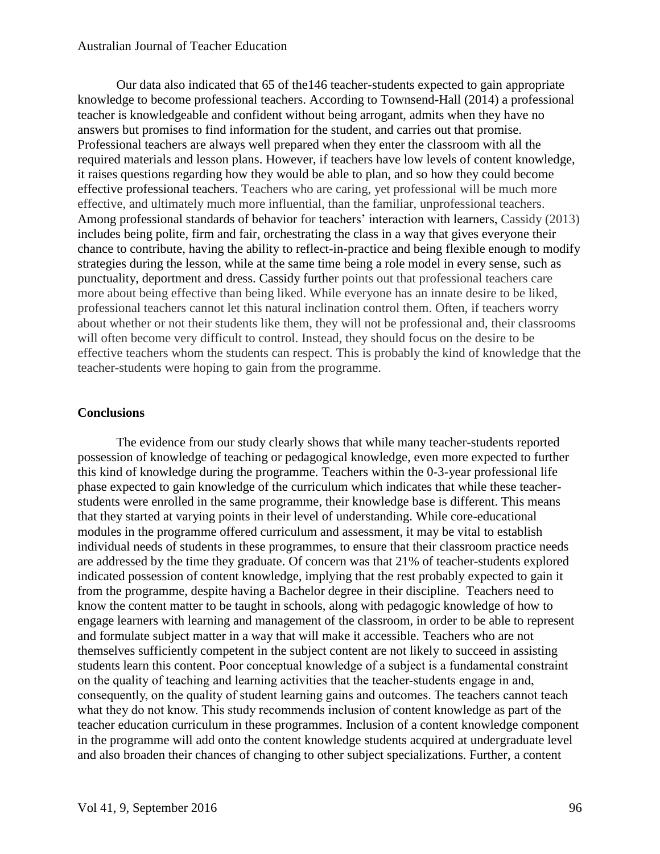Our data also indicated that 65 of the146 teacher-students expected to gain appropriate knowledge to become professional teachers. According to Townsend-Hall (2014) a professional teacher is knowledgeable and confident without being arrogant, admits when they have no answers but promises to find information for the student, and carries out that promise. Professional teachers are always well prepared when they enter the classroom with all the required materials and lesson plans. However, if teachers have low levels of content knowledge, it raises questions regarding how they would be able to plan, and so how they could become effective professional teachers. Teachers who are caring, yet professional will be much more effective, and ultimately much more influential, than the familiar, unprofessional teachers. Among professional standards of behavior for teachers' interaction with learners, Cassidy (2013) includes being polite, firm and fair, orchestrating the class in a way that gives everyone their chance to contribute, having the ability to reflect-in-practice and being flexible enough to modify strategies during the lesson, while at the same time being a role model in every sense, such as punctuality, deportment and dress. Cassidy further points out that professional teachers care more about being effective than being liked. While everyone has an innate desire to be liked, professional teachers cannot let this natural inclination control them. Often, if teachers worry about whether or not their students like them, they will not be professional and, their classrooms will often become very difficult to control. Instead, they should focus on the desire to be effective teachers whom the students can respect. This is probably the kind of knowledge that the teacher-students were hoping to gain from the programme.

#### **Conclusions**

The evidence from our study clearly shows that while many teacher-students reported possession of knowledge of teaching or pedagogical knowledge, even more expected to further this kind of knowledge during the programme. Teachers within the 0-3-year professional life phase expected to gain knowledge of the curriculum which indicates that while these teacherstudents were enrolled in the same programme, their knowledge base is different. This means that they started at varying points in their level of understanding. While core-educational modules in the programme offered curriculum and assessment, it may be vital to establish individual needs of students in these programmes, to ensure that their classroom practice needs are addressed by the time they graduate. Of concern was that 21% of teacher-students explored indicated possession of content knowledge, implying that the rest probably expected to gain it from the programme, despite having a Bachelor degree in their discipline. Teachers need to know the content matter to be taught in schools, along with pedagogic knowledge of how to engage learners with learning and management of the classroom, in order to be able to represent and formulate subject matter in a way that will make it accessible. Teachers who are not themselves sufficiently competent in the subject content are not likely to succeed in assisting students learn this content. Poor conceptual knowledge of a subject is a fundamental constraint on the quality of teaching and learning activities that the teacher-students engage in and, consequently, on the quality of student learning gains and outcomes. The teachers cannot teach what they do not know. This study recommends inclusion of content knowledge as part of the teacher education curriculum in these programmes. Inclusion of a content knowledge component in the programme will add onto the content knowledge students acquired at undergraduate level and also broaden their chances of changing to other subject specializations. Further, a content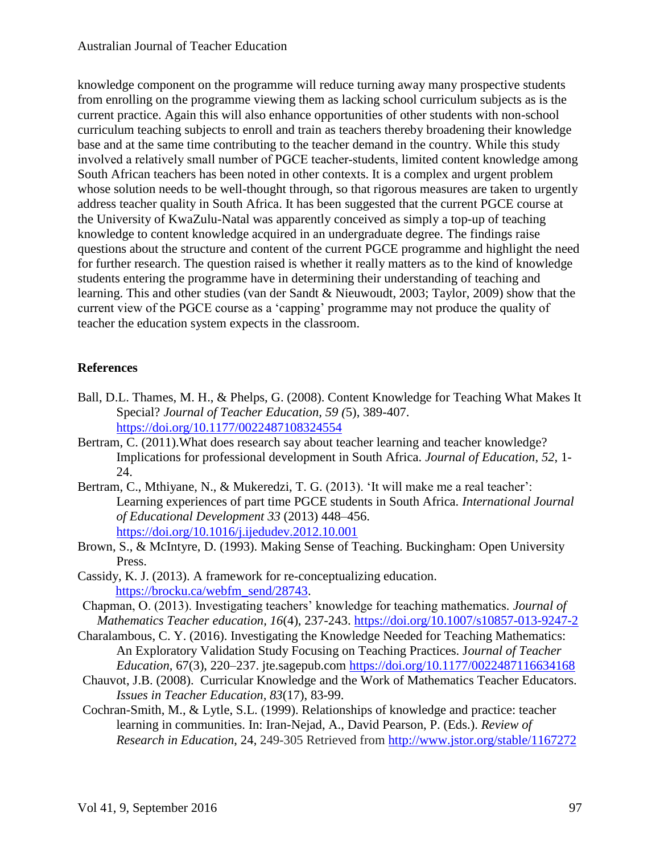knowledge component on the programme will reduce turning away many prospective students from enrolling on the programme viewing them as lacking school curriculum subjects as is the current practice. Again this will also enhance opportunities of other students with non-school curriculum teaching subjects to enroll and train as teachers thereby broadening their knowledge base and at the same time contributing to the teacher demand in the country. While this study involved a relatively small number of PGCE teacher-students, limited content knowledge among South African teachers has been noted in other contexts. It is a complex and urgent problem whose solution needs to be well-thought through, so that rigorous measures are taken to urgently address teacher quality in South Africa. It has been suggested that the current PGCE course at the University of KwaZulu-Natal was apparently conceived as simply a top-up of teaching knowledge to content knowledge acquired in an undergraduate degree. The findings raise questions about the structure and content of the current PGCE programme and highlight the need for further research. The question raised is whether it really matters as to the kind of knowledge students entering the programme have in determining their understanding of teaching and learning. This and other studies (van der Sandt & Nieuwoudt, 2003; Taylor, 2009) show that the current view of the PGCE course as a 'capping' programme may not produce the quality of teacher the education system expects in the classroom.

# **References**

- Ball, D.L. Thames, M. H., & Phelps, G. (2008). Content Knowledge for Teaching What Makes It Special? *Journal of Teacher Education, 59 (*5), 389-407. <https://doi.org/10.1177/0022487108324554>
- Bertram, C. (2011).What does research say about teacher learning and teacher knowledge? Implications for professional development in South Africa. *Journal of Education*, *52*, 1- 24.
- Bertram, C., Mthiyane, N., & Mukeredzi, T. G. (2013). 'It will make me a real teacher': Learning experiences of part time PGCE students in South Africa. *International Journal of Educational Development 33* (2013) 448–456. <https://doi.org/10.1016/j.ijedudev.2012.10.001>
- Brown, S., & McIntyre, D. (1993). Making Sense of Teaching. Buckingham: Open University Press.
- Cassidy, K. J. (2013). A framework for re-conceptualizing education. [https://brocku.ca/webfm\\_send/28743.](https://brocku.ca/webfm_send/28743)
- Chapman, O. (2013). Investigating teachers' knowledge for teaching mathematics*. Journal of Mathematics Teacher education, 16*(4), 237-243.<https://doi.org/10.1007/s10857-013-9247-2>
- Charalambous, C. Y. (2016). Investigating the Knowledge Needed for Teaching Mathematics: An Exploratory Validation Study Focusing on Teaching Practices. J*ournal of Teacher Education,* 67(3), 220–237. jte.sagepub.com <https://doi.org/10.1177/0022487116634168>
- Chauvot, J.B. (2008). Curricular Knowledge and the Work of Mathematics Teacher Educators. *Issues in Teacher Education, 83*(17), 83-99.
- Cochran-Smith, M., & Lytle, S.L. (1999). Relationships of knowledge and practice: teacher learning in communities. In: Iran-Nejad, A., David Pearson, P. (Eds.). *Review of Research in Education*, 24, 249-305 Retrieved from<http://www.jstor.org/stable/1167272>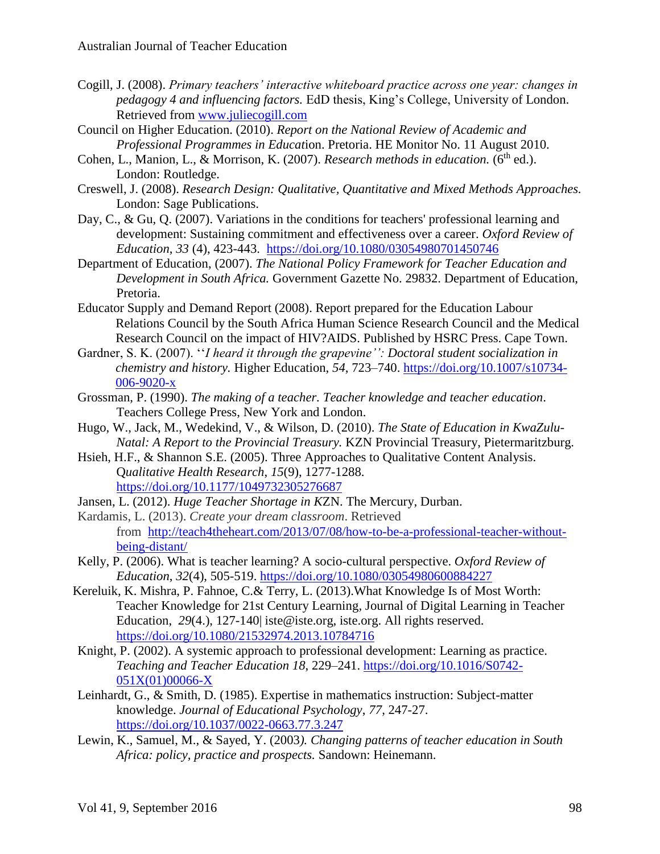- Cogill, J. (2008). *Primary teachers' interactive whiteboard practice across one year: changes in pedagogy 4 and influencing factors.* EdD thesis, King's College, University of London. Retrieved from [www.juliecogill.com](http://www.juliecogill.com/)
- Council on Higher Education. (2010). *Report on the National Review of Academic and Professional Programmes in Educat*ion. Pretoria. HE Monitor No. 11 August 2010.
- Cohen, L., Manion, L., & Morrison, K. (2007). *Research methods in education.* (6<sup>th</sup> ed.). London: Routledge.
- Creswell, J. (2008). *Research Design: Qualitative, Quantitative and Mixed Methods Approaches.*  London: Sage Publications.
- Day, C., & Gu, Q. (2007). Variations in the conditions for teachers' professional learning and development: Sustaining commitment and effectiveness over a career. *Oxford Review of Education*, *33* (4), 423-443. <https://doi.org/10.1080/03054980701450746>
- Department of Education, (2007). *The National Policy Framework for Teacher Education and Development in South Africa.* Government Gazette No. 29832. Department of Education, Pretoria.
- Educator Supply and Demand Report (2008). Report prepared for the Education Labour Relations Council by the South Africa Human Science Research Council and the Medical Research Council on the impact of HIV?AIDS. Published by HSRC Press. Cape Town.
- Gardner, S. K. (2007). ''*I heard it through the grapevine'': Doctoral student socialization in chemistry and history.* Higher Education, *54*, 723–740. [https://doi.org/10.1007/s10734-](https://doi.org/10.1007/s10734-006-9020-x) [006-9020-x](https://doi.org/10.1007/s10734-006-9020-x)
- Grossman, P. (1990). *The making of a teacher. Teacher knowledge and teacher education*. Teachers College Press, New York and London.
- Hugo, W., Jack, M., Wedekind, V., & Wilson, D. (2010). *The State of Education in KwaZulu-Natal: A Report to the Provincial Treasury.* KZN Provincial Treasury, Pietermaritzburg.
- Hsieh, H.F., & Shannon S.E. (2005). Three Approaches to Qualitative Content Analysis. Q*ualitative Health Research*, *15*(9), 1277-1288. <https://doi.org/10.1177/1049732305276687>
- Jansen, L. (2012). *Huge Teacher Shortage in K*ZN. The Mercury, Durban.
- Kardamis, L. (2013). *Create your dream classroom*. Retrieved from [http://teach4theheart.com/2013/07/08/how-to-be-a-professional-teacher-without](http://teach4theheart.com/2013/07/08/how-to-be-a-professional-teacher-without-being-distant/)[being-distant/](http://teach4theheart.com/2013/07/08/how-to-be-a-professional-teacher-without-being-distant/)
- Kelly, P. (2006). What is teacher learning? A socio-cultural perspective. *Oxford Review of Education*, *32*(4), 505-519. <https://doi.org/10.1080/03054980600884227>
- Kereluik, K. Mishra, P. Fahnoe, C.& Terry, L. (2013).What Knowledge Is of Most Worth: Teacher Knowledge for 21st Century Learning*,* Journal of Digital Learning in Teacher Education, 29(4.), 127-140 iste@iste.org, iste.org. All rights reserved. <https://doi.org/10.1080/21532974.2013.10784716>
- Knight, P. (2002). A systemic approach to professional development: Learning as practice. *Teaching and Teacher Education 18*, 229–241. [https://doi.org/10.1016/S0742-](https://doi.org/10.1016/S0742-051X%2801%2900066-X) [051X\(01\)00066-X](https://doi.org/10.1016/S0742-051X%2801%2900066-X)
- Leinhardt, G., & Smith, D. (1985). Expertise in mathematics instruction: Subject-matter knowledge. *Journal of Educational Psychology*, *77*, 247-27. <https://doi.org/10.1037/0022-0663.77.3.247>
- Lewin, K., Samuel, M., & Sayed, Y. (2003*). Changing patterns of teacher education in South Africa: policy, practice and prospects.* Sandown: Heinemann.